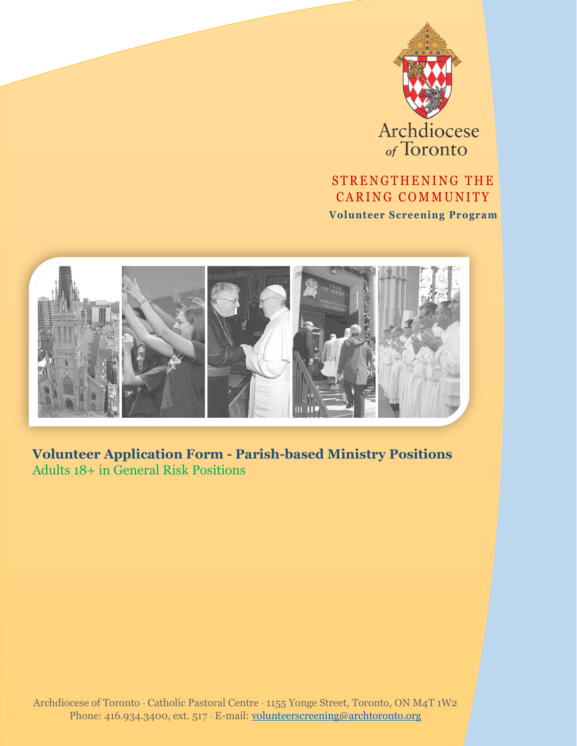

Archdiocese

### STRENGTHENING THE CARING COMMUNITY

**Volunteer Screening Program**



**Volunteer Application Form - Parish-based Ministry Positions** Adults 18+ in General Risk Positions

Archdiocese of Toronto Catholic Pastoral Centre 1155 Yonge Street, Toronto, ON M4T 1W2 Phone: 416.934.3400, ext. 517 · E-mail: [volunteerscreening@archtoronto.org](mailto:volunteerscreening@archtoronto.org)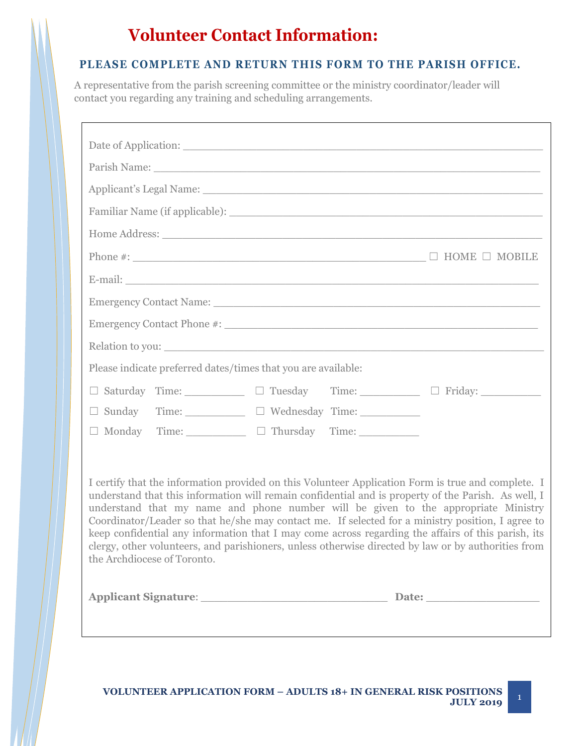# **Volunteer Contact Information:**

#### **PLEASE COMPLETE AND RETURN THIS FORM TO THE PARISH OFFICE.**

A representative from the parish screening committee or the ministry coordinator/leader will contact you regarding any training and scheduling arrangements.

| Parish Name: Name and South Assembly and South Assembly and South Assembly and South Assembly and South Assembly and South Assembly and South Assembly and South Assembly and Assembly and Assembly and Assembly and Assembly                                                                                                                                                                                                                                                                                                                                                                                                                    |
|--------------------------------------------------------------------------------------------------------------------------------------------------------------------------------------------------------------------------------------------------------------------------------------------------------------------------------------------------------------------------------------------------------------------------------------------------------------------------------------------------------------------------------------------------------------------------------------------------------------------------------------------------|
| Applicant's Legal Name: 1996. The Contract of the Contract of the Contract of the Contract of the Contract of the Contract of the Contract of the Contract of the Contract of the Contract of the Contract of the Contract of                                                                                                                                                                                                                                                                                                                                                                                                                    |
|                                                                                                                                                                                                                                                                                                                                                                                                                                                                                                                                                                                                                                                  |
|                                                                                                                                                                                                                                                                                                                                                                                                                                                                                                                                                                                                                                                  |
|                                                                                                                                                                                                                                                                                                                                                                                                                                                                                                                                                                                                                                                  |
|                                                                                                                                                                                                                                                                                                                                                                                                                                                                                                                                                                                                                                                  |
|                                                                                                                                                                                                                                                                                                                                                                                                                                                                                                                                                                                                                                                  |
|                                                                                                                                                                                                                                                                                                                                                                                                                                                                                                                                                                                                                                                  |
| Relation to you:                                                                                                                                                                                                                                                                                                                                                                                                                                                                                                                                                                                                                                 |
| Please indicate preferred dates/times that you are available:                                                                                                                                                                                                                                                                                                                                                                                                                                                                                                                                                                                    |
| □ Saturday Time: □ Tuesday Time: □ Friday: □ Tuesday Time: □ Friday:                                                                                                                                                                                                                                                                                                                                                                                                                                                                                                                                                                             |
| $\square$ Sunday Time: $\square$ $\square$ Wednesday Time:                                                                                                                                                                                                                                                                                                                                                                                                                                                                                                                                                                                       |
| $\Box$ Monday Time: $\Box$ Thursday Time:                                                                                                                                                                                                                                                                                                                                                                                                                                                                                                                                                                                                        |
| I certify that the information provided on this Volunteer Application Form is true and complete. I<br>understand that this information will remain confidential and is property of the Parish. As well, I<br>understand that my name and phone number will be given to the appropriate Ministry<br>Coordinator/Leader so that he/she may contact me. If selected for a ministry position, I agree to<br>keep confidential any information that I may come across regarding the affairs of this parish, its<br>clergy, other volunteers, and parishioners, unless otherwise directed by law or by authorities from<br>the Archdiocese of Toronto. |
| Applicant Signature: Date: Date:                                                                                                                                                                                                                                                                                                                                                                                                                                                                                                                                                                                                                 |

1